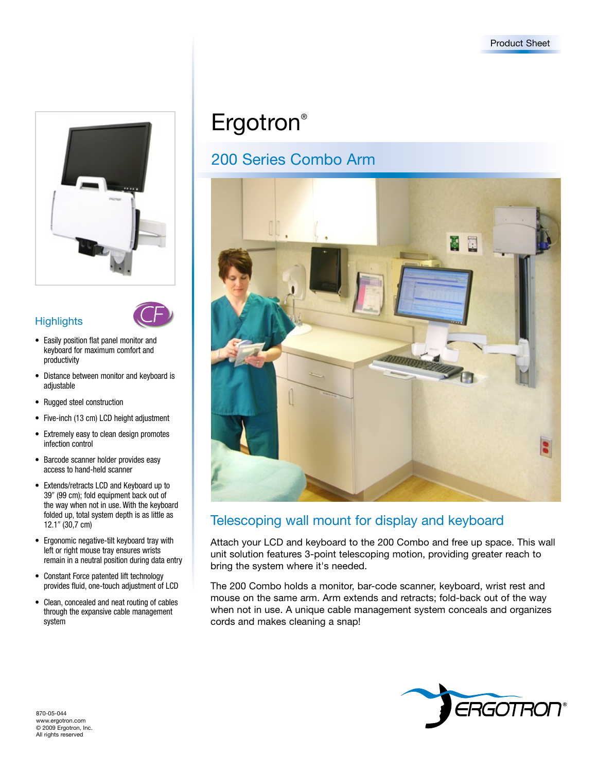

### **Highlights**



- • Easily position flat panel monitor and keyboard for maximum comfort and productivity
- Distance between monitor and keyboard is adjustable
- Rugged steel construction
- Five-inch (13 cm) LCD height adjustment
- • Extremely easy to clean design promotes infection control
- • Barcode scanner holder provides easy access to hand-held scanner
- Extends/retracts LCD and Keyboard up to 39" (99 cm); fold equipment back out of the way when not in use. With the keyboard folded up, total system depth is as little as 12.1" (30,7 cm)
- • Ergonomic negative-tilt keyboard tray with left or right mouse tray ensures wrists remain in a neutral position during data entry
- Constant Force patented lift technology provides fluid, one-touch adjustment of LCD
- Clean, concealed and neat routing of cables through the expansive cable management system

# Ergotron<sup>®</sup>

# 200 Series Combo Arm



## Telescoping wall mount for display and keyboard

Attach your LCD and keyboard to the 200 Combo and free up space. This wall unit solution features 3-point telescoping motion, providing greater reach to bring the system where it's needed.

The 200 Combo holds a monitor, bar-code scanner, keyboard, wrist rest and mouse on the same arm. Arm extends and retracts; fold-back out of the way when not in use. A unique cable management system conceals and organizes cords and makes cleaning a snap!